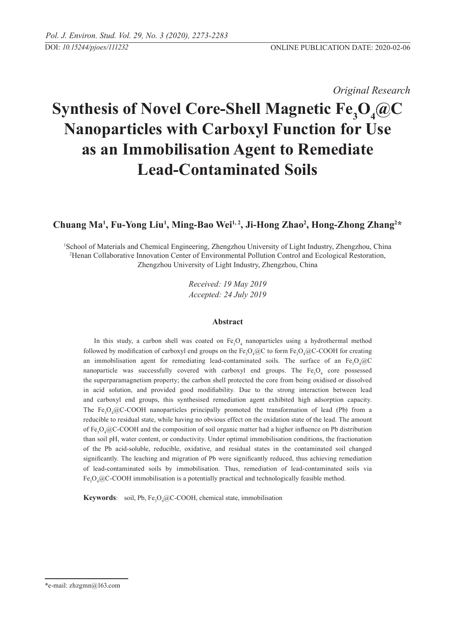*Original Research* 

# **Synthesis of Novel Core-Shell Magnetic Fe<sub>3</sub>O<sub>4</sub>@C Nanoparticles with Carboxyl Function for Use as an Immobilisation Agent to Remediate Lead-Contaminated Soils**

# **Chuang Ma1 , Fu-Yong Liu1 , Ming-Bao Wei1, 2, Ji-Hong Zhao2 , Hong-Zhong Zhang2 \***

1 School of Materials and Chemical Engineering, Zhengzhou University of Light Industry, Zhengzhou, China 2 Henan Collaborative Innovation Center of Environmental Pollution Control and Ecological Restoration, Zhengzhou University of Light Industry, Zhengzhou, China

> *Received: 19 May 2019 Accepted: 24 July 2019*

#### **Abstract**

In this study, a carbon shell was coated on  $Fe<sub>3</sub>O<sub>4</sub>$  nanoparticles using a hydrothermal method followed by modification of carboxyl end groups on the  $Fe_{3}O_{4}$  @C to form  $Fe_{3}O_{4}$  @C-COOH for creating an immobilisation agent for remediating lead-contaminated soils. The surface of an  $Fe<sub>3</sub>O<sub>4</sub>@C$ nanoparticle was successfully covered with carboxyl end groups. The  $Fe<sub>3</sub>O<sub>4</sub>$  core possessed the superparamagnetism property; the carbon shell protected the core from being oxidised or dissolved in acid solution, and provided good modifiability. Due to the strong interaction between lead and carboxyl end groups, this synthesised remediation agent exhibited high adsorption capacity. The  $Fe<sub>3</sub>O<sub>4</sub>@C-COOH$  nanoparticles principally promoted the transformation of lead (Pb) from a reducible to residual state, while having no obvious effect on the oxidation state of the lead. The amount of  $Fe<sub>3</sub>O<sub>4</sub>/@C-COOH$  and the composition of soil organic matter had a higher influence on Pb distribution than soil pH, water content, or conductivity. Under optimal immobilisation conditions, the fractionation of the Pb acid-soluble, reducible, oxidative, and residual states in the contaminated soil changed significantly. The leaching and migration of Pb were significantly reduced, thus achieving remediation of lead-contaminated soils by immobilisation. Thus, remediation of lead-contaminated soils via Fe<sub>3</sub>O<sub>4</sub>@C-COOH immobilisation is a potentially practical and technologically feasible method.

**Keywords**: soil, Pb, Fe<sub>3</sub>O<sub>4</sub>@C-COOH, chemical state, immobilisation

<sup>\*</sup>e-mail: zhzgmn@163.com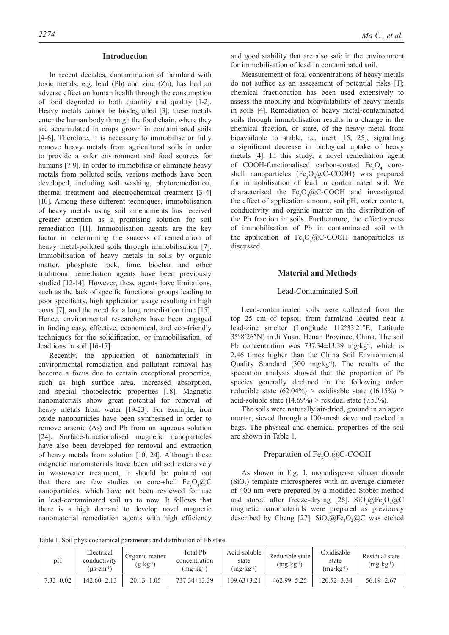#### **Introduction**

In recent decades, contamination of farmland with toxic metals, e.g. lead (Pb) and zinc (Zn), has had an adverse effect on human health through the consumption of food degraded in both quantity and quality [1-2]. Heavy metals cannot be biodegraded [3]; these metals enter the human body through the food chain, where they are accumulated in crops grown in contaminated soils [4-6]. Therefore, it is necessary to immobilise or fully remove heavy metals from agricultural soils in order to provide a safer environment and food sources for humans [7-9]. In order to immobilise or eliminate heavy metals from polluted soils, various methods have been developed, including soil washing, phytoremediation, thermal treatment and electrochemical treatment [3-4] [10]. Among these different techniques, immobilisation of heavy metals using soil amendments has received greater attention as a promising solution for soil remediation [11]. Immobilisation agents are the key factor in determining the success of remediation of heavy metal-polluted soils through immobilisation [7]. Immobilisation of heavy metals in soils by organic matter, phosphate rock, lime, biochar and other traditional remediation agents have been previously studied [12-14]. However, these agents have limitations, such as the lack of specific functional groups leading to poor specificity, high application usage resulting in high costs [7], and the need for a long remediation time [15]. Hence, environmental researchers have been engaged in finding easy, effective, economical, and eco-friendly techniques for the solidification, or immobilisation, of lead ions in soil [16-17].

Recently, the application of nanomaterials in environmental remediation and pollutant removal has become a focus due to certain exceptional properties, such as high surface area, increased absorption, and special photoelectric properties [18]. Magnetic nanomaterials show great potential for removal of heavy metals from water [19-23]. For example, iron oxide nanoparticles have been synthesised in order to remove arsenic (As) and Pb from an aqueous solution [24]. Surface-functionalised magnetic nanoparticles have also been developed for removal and extraction of heavy metals from solution [10, 24]. Although these magnetic nanomaterials have been utilised extensively in wastewater treatment, it should be pointed out that there are few studies on core-shell  $Fe<sub>3</sub>O<sub>4</sub>(@C)$ nanoparticles, which have not been reviewed for use in lead-contaminated soil up to now. It follows that there is a high demand to develop novel magnetic nanomaterial remediation agents with high efficiency

and good stability that are also safe in the environment for immobilisation of lead in contaminated soil.

Measurement of total concentrations of heavy metals do not suffice as an assessment of potential risks [1]; chemical fractionation has been used extensively to assess the mobility and bioavailability of heavy metals in soils [4]. Remediation of heavy metal-contaminated soils through immobilisation results in a change in the chemical fraction, or state, of the heavy metal from bioavailable to stable, i.e. inert [15, 25], signalling a significant decrease in biological uptake of heavy metals [4]. In this study, a novel remediation agent of COOH-functionalised carbon-coated  $Fe<sub>3</sub>O<sub>4</sub>$  coreshell nanoparticles (Fe<sub>3</sub>O<sub>4</sub>@C-COOH) was prepared for immobilisation of lead in contaminated soil. We characterised the  $Fe<sub>3</sub>O<sub>4</sub>@C-COOH$  and investigated the effect of application amount, soil pH, water content, conductivity and organic matter on the distribution of the Pb fraction in soils. Furthermore, the effectiveness of immobilisation of Pb in contaminated soil with the application of  $Fe<sub>3</sub>O<sub>4</sub>@C-COOH$  nanoparticles is discussed.

#### **Material and Methods**

#### Lead-contaminated Soil

Lead-contaminated soils were collected from the top 25 cm of topsoil from farmland located near a lead-zinc smelter (Longitude 112°33′21″E, Latitude 35°8′26″N) in Ji Yuan, Henan Province, China. The soil Pb concentration was 737.34±13.39 mg·kg<sup>-1</sup>, which is 2.46 times higher than the China Soil Environmental Quality Standard (300 mg·kg-1). The results of the speciation analysis showed that the proportion of Pb species generally declined in the following order: reducible state  $(62.04\%)$  > oxidisable state  $(16.15\%)$  > acid-soluble state  $(14.69\%)$  > residual state  $(7.53\%)$ .

The soils were naturally air-dried, ground in an agate mortar, sieved through a 100-mesh sieve and packed in bags. The physical and chemical properties of the soil are shown in Table 1.

# Preparation of  $Fe<sub>3</sub>O<sub>4</sub>(QC-COOH)$

As shown in Fig. 1, monodisperse silicon dioxide  $(SiO<sub>2</sub>)$  template microspheres with an average diameter of 400 nm were prepared by a modified Stober method and stored after freeze-drying [26].  $SiO_2@Fe_3O_4@C$ magnetic nanomaterials were prepared as previously described by Cheng [27].  $SiO_2@Fe_3O_4@C$  was etched

Table 1. Soil physicochemical parameters and distribution of Pb state.

| рH              | Electrical<br>conductivity<br>$(us\cdot cm^{-1})$ | Organic matter<br>$(g \cdot kg^{-1})$ | Total Pb<br>concentration<br>$(mg \cdot kg^{-1})$ | Acid-soluble<br>state<br>$(mg \cdot kg^{-1})$ | Reducible state<br>$(mg \cdot kg^{-1})$ | Oxidisable<br>state<br>$(mg \cdot kg^{-1})$ | Residual state<br>$(mg \cdot kg^{-1})$ |
|-----------------|---------------------------------------------------|---------------------------------------|---------------------------------------------------|-----------------------------------------------|-----------------------------------------|---------------------------------------------|----------------------------------------|
| $7.33 \pm 0.02$ | 142.60±2.13                                       | $20.13 \pm 1.05$                      | $737.34 \pm 13.39$                                | $109.63 \pm 3.21$                             | $462.99 \pm 5.25$                       | $120.52 \pm 3.34$                           | $56.19 \pm 2.67$                       |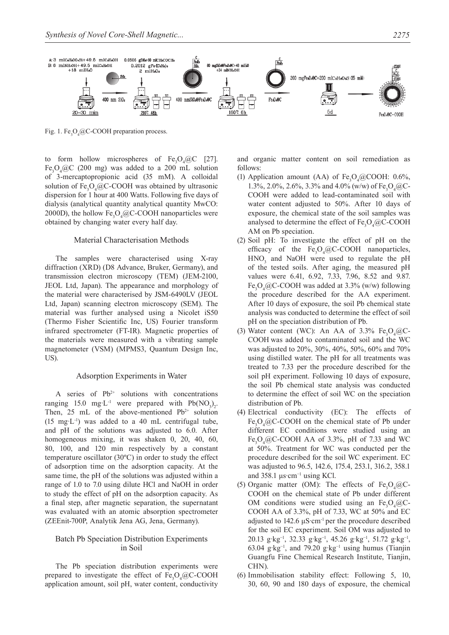

Fig. 1.  $Fe<sub>3</sub>O<sub>4</sub>@C-COOH$  preparation process.

to form hollow microspheres of  $Fe<sub>3</sub>O<sub>4</sub>/@C$  [27]. Fe<sub>3</sub>O<sub>4</sub> $@C$  (200 mg) was added to a 200 mL solution of 3-mercaptopropionic acid (35 mM). A colloidal solution of  $Fe<sub>3</sub>O<sub>4</sub>@C-COOH$  was obtained by ultrasonic dispersion for 1 hour at 400 Watts. Following five days of dialysis (analytical quantity analytical quantity MwCO: 2000D), the hollow  $Fe<sub>3</sub>O<sub>4</sub>@C-COOH$  nanoparticles were obtained by changing water every half day.

#### Material Characterisation Methods

The samples were characterised using X-ray diffraction (XRD) (D8 Advance, Bruker, Germany), and transmission electron microscopy (TEM) (JEM-2100, JEOL Ltd, Japan). The appearance and morphology of the material were characterised by JSM-6490LV (JEOL Ltd, Japan) scanning electron microscopy (SEM). The material was further analysed using a Nicolet iS50 (Thermo Fisher Scientific Inc, US) Fourier transform infrared spectrometer (FT-IR). Magnetic properties of the materials were measured with a vibrating sample magnetometer (VSM) (MPMS3, Quantum Design Inc, US).

#### Adsorption Experiments in Water

A series of  $Pb^{2+}$  solutions with concentrations ranging 15.0 mg·L<sup>-1</sup> were prepared with  $Pb(NO_3)_2$ . Then, 25 mL of the above-mentioned  $Pb^{2+}$  solution  $(15 \text{ mg} \cdot \text{L}^{-1})$  was added to a 40 mL centrifugal tube. and pH of the solutions was adjusted to 6.0. After homogeneous mixing, it was shaken 0, 20, 40, 60, 80, 100, and 120 min respectively by a constant temperature oscillator (30ºC) in order to study the effect of adsorption time on the adsorption capacity. At the same time, the pH of the solutions was adjusted within a range of 1.0 to 7.0 using dilute HCl and NaOH in order to study the effect of pH on the adsorption capacity. As a final step, after magnetic separation, the supernatant was evaluated with an atomic absorption spectrometer (ZEEnit-700P, Analytik Jena AG, Jena, Germany).

#### Batch Pb Speciation Distribution Experiments in Soil

The Pb speciation distribution experiments were prepared to investigate the effect of  $Fe<sub>3</sub>O<sub>4</sub>/@C-COOH$ application amount, soil pH, water content, conductivity

and organic matter content on soil remediation as follows:

- (1) Application amount (AA) of  $Fe<sub>3</sub>O<sub>4</sub>@COOH: 0.6%,$ 1.3%, 2.0%, 2.6%, 3.3% and 4.0% (w/w) of  $Fe<sub>3</sub>O<sub>4</sub>@C$ -COOH were added to lead-contaminated soil with water content adjusted to 50%. After 10 days of exposure, the chemical state of the soil samples was analysed to determine the effect of  $Fe<sub>3</sub>O<sub>4</sub>@C-COOH$ AM on Pb speciation.
- (2) Soil pH: To investigate the effect of pH on the efficacy of the  $Fe<sub>3</sub>O<sub>4</sub>@C-COOH$  nanoparticles,  $HNO<sub>3</sub>$  and NaOH were used to regulate the pH of the tested soils. After aging, the measured pH values were 6.41, 6.92, 7.33, 7.96, 8.52 and 9.87. Fe<sub>3</sub>O<sub>4</sub>@C-COOH was added at 3.3% (w/w) following the procedure described for the AA experiment. After 10 days of exposure, the soil Pb chemical state analysis was conducted to determine the effect of soil pH on the speciation distribution of Pb.
- (3) Water content (WC): An AA of  $3.3\%$  Fe<sub>3</sub>O<sub>4</sub>@C-COOH was added to contaminated soil and the WC was adjusted to 20%, 30%, 40%, 50%, 60% and 70% using distilled water. The pH for all treatments was treated to 7.33 per the procedure described for the soil pH experiment. Following 10 days of exposure, the soil Pb chemical state analysis was conducted to determine the effect of soil WC on the speciation distribution of Pb.
- (4) Electrical conductivity (EC): The effects of  $Fe<sub>3</sub>O<sub>4</sub>@C-COOH$  on the chemical state of Pb under different EC conditions were studied using an Fe<sub>3</sub>O<sub>4</sub>@C-COOH AA of 3.3%, pH of 7.33 and WC at 50%. Treatment for WC was conducted per the procedure described for the soil WC experiment. EC was adjusted to 96.5, 142.6, 175.4, 253.1, 316.2, 358.1 and 358.1  $\mu$ s cm<sup>-1</sup> using KCl.
- (5) Organic matter (OM): The effects of  $Fe<sub>3</sub>O<sub>4</sub>(@C-$ COOH on the chemical state of Pb under different OM conditions were studied using an  $Fe<sub>3</sub>O<sub>4</sub>/@C$ -COOH AA of 3.3%, pH of 7.33, WC at 50% and EC adjusted to  $142.6 \mu S \cdot cm^{-1}$  per the procedure described for the soil EC experiment. Soil OM was adjusted to 20.13 g·kg<sup>-1</sup>, 32.33 g·kg<sup>-1</sup>, 45.26 g·kg<sup>-1</sup>, 51.72 g·kg<sup>-1</sup>, 63.04 g·kg<sup>-1</sup>, and 79.20 g·kg<sup>-1</sup> using humus (Tianjin Guangfu Fine Chemical Research Institute, Tianjin, CHN).
- (6) Immobilisation stability effect: Following 5, 10, 30, 60, 90 and 180 days of exposure, the chemical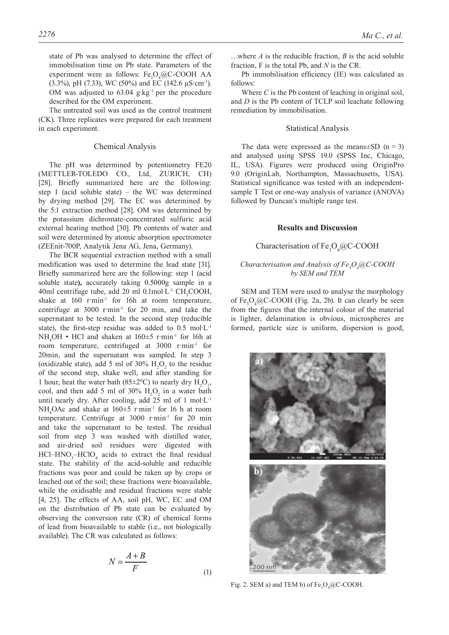state of Pb was analysed to determine the effect of immobilisation time on Pb state. Parameters of the experiment were as follows:  $Fe<sub>3</sub>O<sub>4</sub>@C-COOH AA$ (3.3%), pH (7.33), WC (50%) and EC (142.6  $\mu$ S·cm<sup>-1</sup>). OM was adjusted to 63.04 g·kg−1 per the procedure described for the OM experiment.

The untreated soil was used as the control treatment (CK). Three replicates were prepared for each treatment in each experiment.

#### Chemical Analysis

The pH was determined by potentiometry FE20 (METTLER-TOLEDO CO., Ltd, ZURICH, CH) [28]. Briefly summarized here are the following: step 1 (acid soluble state) – the WC was determined by drying method [29]. The EC was determined by the 5:1 extraction method [28]. OM was determined by the potassium dichromate-concentrated sulfuric acid external heating method [30]. Pb contents of water and soil were determined by atomic absorption spectrometer (ZEEnit-700P, Analytik Jena AG, Jena, Germany).

The BCR sequential extraction method with a small modification was used to determine the lead state [31]. Briefly summarized here are the following: step 1 (acid soluble state**),** accurately taking 0.5000g sample in a 40ml centrifuge tube, add 20 ml  $0.1$ mol·L<sup>-1</sup> CH<sub>3</sub>COOH, shake at 160 r·min<sup>-1</sup> for 16h at room temperature, centrifuge at  $3000$  r·min<sup>-1</sup> for 20 min, and take the supernatant to be tested. In the second step (reducible state), the first-step residue was added to  $0.5 \text{ mol} \cdot L^{-1}$  $NH<sub>4</sub>OH \cdot HCl$  and shaken at  $160 \pm 5$  r·min<sup>-1</sup> for 16h at room temperature, centrifuged at 3000 r·min-1 for 20min, and the supernatant was sampled. In step 3 (oxidizable state), add 5 ml of 30%  $H_2O_2$  to the residue of the second step, shake well, and after standing for 1 hour, heat the water bath (85±2°C) to nearly dry  $H_2O_2$ , cool, and then add 5 ml of 30%  $H_2O_2$  in a water bath until nearly dry. After cooling, add  $25$  ml of 1 mol $L^{-1}$ NH<sub>4</sub>OAc and shake at  $160 \pm 5$  r·min<sup>-1</sup> for 16 h at room temperature. Centrifuge at 3000 r·min<sup>-1</sup> for 20 min and take the supernatant to be tested. The residual soil from step 3 was washed with distilled water, and air-dried soil residues were digested with  $HCl-HNO<sub>3</sub>-HClO<sub>4</sub>$  acids to extract the final residual state. The stability of the acid-soluble and reducible fractions was poor and could be taken up by crops or leached out of the soil; these fractions were bioavailable, while the oxidisable and residual fractions were stable [4, 25]. The effects of AA, soil pH, WC, EC and OM on the distribution of Pb state can be evaluated by observing the conversion rate (CR) of chemical forms of lead from bioavailable to stable (i.e., not biologically available). The CR was calculated as follows:

$$
N = \frac{A+B}{F}
$$
 (1)

…where *A* is the reducible fraction, *B* is the acid soluble fraction, F is the total Pb, and *N* is the CR.

Pb immobilisation efficiency (IE) was calculated as follows:

Where *C* is the Pb content of leaching in original soil, and *D* is the Pb content of TCLP soil leachate following remediation by immobilisation.

#### Statistical Analysis

The data were expressed as the means $\pm$ SD (n = 3) and analysed using SPSS 19.0 (SPSS Inc, Chicago, IL, USA). Figures were produced using OriginPro 9.0 (OriginLab, Northampton, Massachusetts, USA). Statistical significance was tested with an independentsample T Test or one-way analysis of variance (ANOVA) followed by Duncan's multiple range test.

#### **Results and Discussion**

# Characterisation of  $Fe<sub>3</sub>O<sub>4</sub>(QC-COOH)$

#### *Characterisation and Analysis of Fe<sub>3</sub>O<sub>4</sub>@C-COOH by SEM and TEM*

SEM and TEM were used to analyse the morphology of  $Fe<sub>3</sub>O<sub>4</sub>(QC-COOH)$  (Fig. 2a, 2b). It can clearly be seen from the figures that the internal colour of the material is lighter, delamination is obvious, microspheres are formed, particle size is uniform, dispersion is good,



Fig. 2. SEM a) and TEM b) of  $Fe<sub>3</sub>O<sub>4</sub>(QC-COOH)$ .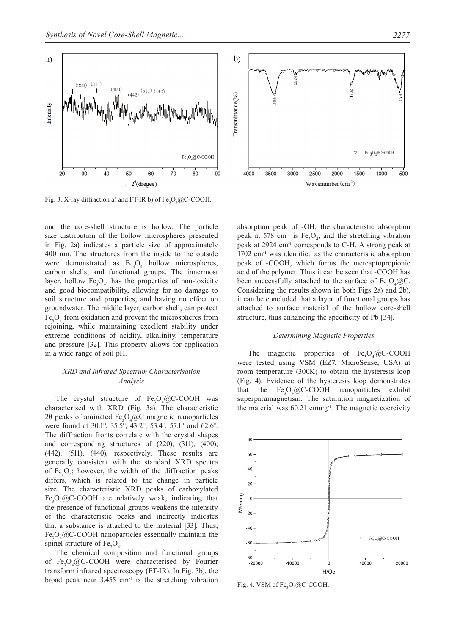



Fig. 3. X-ray diffraction a) and FT-IR b) of  $Fe<sub>3</sub>O<sub>4</sub>@C-COOH$ .

and the core-shell structure is hollow. The particle size distribution of the hollow microspheres presented in Fig. 2a) indicates a particle size of approximately 400 nm. The structures from the inside to the outside were demonstrated as  $Fe<sub>3</sub>O<sub>4</sub>$  hollow microspheres, carbon shells, and functional groups. The innermost layer, hollow  $Fe<sub>3</sub>O<sub>4</sub>$ , has the properties of non-toxicity and good biocompatibility, allowing for no damage to soil structure and properties, and having no effect on groundwater. The middle layer, carbon shell, can protect  $Fe<sub>3</sub>O<sub>4</sub>$  from oxidation and prevent the microspheres from rejoining, while maintaining excellent stability under extreme conditions of acidity, alkalinity, temperature and pressure [32]. This property allows for application in a wide range of soil pH.

#### *XRD and Infrared Spectrum Characterisation Analysis*

The crystal structure of  $Fe<sub>3</sub>O<sub>4</sub>@C-COOH$  was characterised with XRD (Fig. 3a). The characteristic 20 peaks of aminated  $Fe<sub>3</sub>O<sub>4</sub>/QC$  magnetic nanoparticles were found at 30.1°, 35.5°, 43.2°, 53.4°, 57.1° and 62.6°. The diffraction fronts correlate with the crystal shapes and corresponding structures of (220), (311), (400), (442), (511), (440), respectively. These results are generally consistent with the standard XRD spectra of  $Fe<sub>3</sub>O<sub>4</sub>$ ; however, the width of the diffraction peaks differs, which is related to the change in particle size. The characteristic XRD peaks of carboxylated  $Fe<sub>3</sub>O<sub>4</sub>@C-COOH$  are relatively weak, indicating that the presence of functional groups weakens the intensity of the characteristic peaks and indirectly indicates that a substance is attached to the material [33]. Thus,  $Fe<sub>3</sub>O<sub>4</sub>@C-COOH$  nanoparticles essentially maintain the spinel structure of  $Fe<sub>3</sub>O<sub>4</sub>$ .

The chemical composition and functional groups of Fe<sub>3</sub>O<sub>4</sub>@C-COOH were characterised by Fourier transform infrared spectroscopy (FT-IR). In Fig. 3b), the broad peak near  $3,455$  cm<sup>-1</sup> is the stretching vibration



absorption peak of -OH, the characteristic absorption peak at 578 cm<sup>-1</sup> is  $Fe<sub>3</sub>O<sub>4</sub>$ , and the stretching vibration peak at 2924 cm-1 corresponds to C-H. A strong peak at  $1702 \text{ cm}^{-1}$  was identified as the characteristic absorption peak of -COOH, which forms the mercaptopropionic acid of the polymer. Thus it can be seen that -COOH has been successfully attached to the surface of  $Fe<sub>3</sub>O<sub>4</sub>@C$ . Considering the results shown in both Figs 2a) and 2b), it can be concluded that a layer of functional groups has attached to surface material of the hollow core-shell structure, thus enhancing the specificity of Pb [34].

#### *Determining Magnetic Properties*

The magnetic properties of  $Fe<sub>3</sub>O<sub>4</sub>/@C-COOH$ were tested using VSM (EZ7, MicroSense, USA) at room temperature (300K) to obtain the hysteresis loop (Fig. 4). Evidence of the hysteresis loop demonstrates that the  $Fe<sub>3</sub>O<sub>4</sub>@C-COOH$  nanoparticles exhibit superparamagnetism. The saturation magnetization of the material was  $60.21$  emu g<sup>-1</sup>. The magnetic coercivity



Fig. 4. VSM of  $Fe<sub>3</sub>O<sub>4</sub>@C-COOH$ .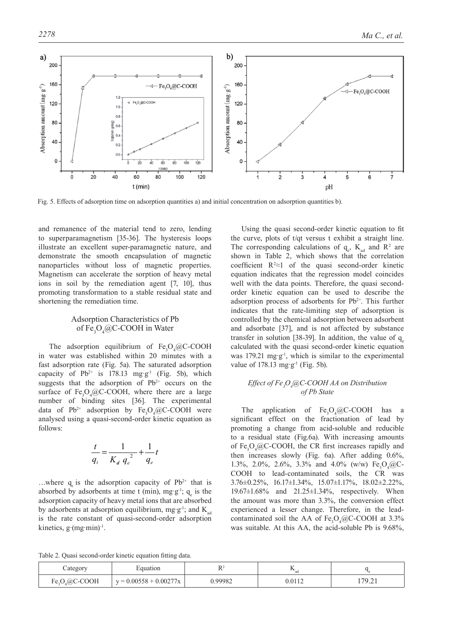

Fig. 5. Effects of adsorption time on adsorption quantities a) and initial concentration on adsorption quantities b).

and remanence of the material tend to zero, lending to superparamagnetism [35-36]. The hysteresis loops illustrate an excellent super-paramagnetic nature, and demonstrate the smooth encapsulation of magnetic nanoparticles without loss of magnetic properties. Magnetism can accelerate the sorption of heavy metal ions in soil by the remediation agent [7, 10], thus promoting transformation to a stable residual state and shortening the remediation time.

### Adsorption Characteristics of Pb of Fe<sub>3</sub>O<sub>4</sub>@C-COOH in Water

The adsorption equilibrium of  $Fe<sub>3</sub>O<sub>4</sub>/@C-COOH$ in water was established within 20 minutes with a fast adsorption rate (Fig. 5a). The saturated adsorption capacity of Pb<sup>2+</sup> is 178.13 mg·g<sup>-1</sup> (Fig. 5b), which suggests that the adsorption of  $Pb^{2+}$  occurs on the surface of  $Fe<sub>3</sub>O<sub>4</sub>(QC-COOH,$  where there are a large number of binding sites [36]. The experimental data of  $Pb^{2+}$  adsorption by  $Fe<sub>3</sub>O<sub>4</sub>/@C-COOH$  were analysed using a quasi-second-order kinetic equation as follows:

$$
\frac{t}{q_t} = \frac{1}{K_d q_e^2} + \frac{1}{q_e}t
$$

...where q is the adsorption capacity of  $Pb^{2+}$  that is absorbed by adsorbents at time t (min), mg·g<sup>-1</sup>;  $q_e$  is the adsorption capacity of heavy metal ions that are absorbed by adsorbents at adsorption equilibrium, mg  $g^{-1}$ ; and  $K_{ad}$ is the rate constant of quasi-second-order adsorption kinetics,  $g$  (mg min)<sup>-1</sup>.

Using the quasi second-order kinetic equation to fit the curve, plots of t/qt versus t exhibit a straight line. The corresponding calculations of  $q_e$ ,  $K_{ad}$  and  $R^2$  are shown in Table 2, which shows that the correlation coefficient  $R^2 \approx 1$  of the quasi second-order kinetic equation indicates that the regression model coincides well with the data points. Therefore, the quasi secondorder kinetic equation can be used to describe the adsorption process of adsorbents for  $Pb^{2+}$ . This further indicates that the rate-limiting step of adsorption is controlled by the chemical adsorption between adsorbent and adsorbate [37], and is not affected by substance transfer in solution [38-39]. In addition, the value of  $q_e$ calculated with the quasi second-order kinetic equation was 179.21 mg  $g^{-1}$ , which is similar to the experimental value of  $178.13 \text{ mg-g}^{-1}$  (Fig. 5b).

#### *Effect of Fe3 O4 @C-COOH AA on Distribution of Pb State*

The application of  $O_4$ @C-COOH has a significant effect on the fractionation of lead by promoting a change from acid-soluble and reducible to a residual state (Fig.6a). With increasing amounts of  $Fe<sub>3</sub>O<sub>4</sub>(QC-COOH,$  the CR first increases rapidly and then increases slowly (Fig. 6a). After adding 0.6%, 1.3%, 2.0%, 2.6%, 3.3% and 4.0% (w/w)  $Fe<sub>3</sub>O<sub>4</sub>/@C-$ COOH to lead-contaminated soils, the CR was 3.76±0.25%, 16.17±1.34%, 15.07±1.17%, 18.02±2.22%, 19.67±1.68% and 21.25±1.34%, respectively. When the amount was more than 3.3%, the conversion effect experienced a lesser change. Therefore, in the leadcontaminated soil the AA of  $Fe<sub>3</sub>O<sub>4</sub>/@C-COOH$  at 3.3% was suitable. At this AA, the acid-soluble Pb is 9.68%,

Table 2. Quasi second-order kinetic equation fitting data.

| Category          | Equation                 |        | <br>ad |                  |
|-------------------|--------------------------|--------|--------|------------------|
| $Fe_3O_4@C$ -COOH | $y = 0.00558 + 0.00277x$ | .99982 | 0.0112 | 70.21<br>⊥ ہے. ′ |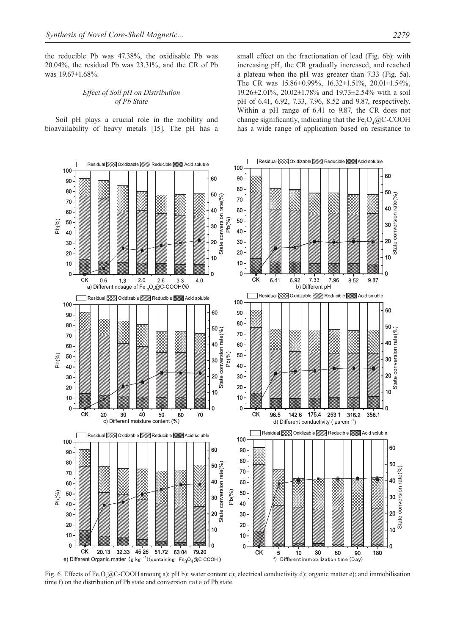the reducible Pb was 47.38%, the oxidisable Pb was 20.04%, the residual Pb was 23.31%, and the CR of Pb was 19.67±1.68%.

#### *Effect of soil pH on Distribution of Pb State*

Soil pH plays a crucial role in the mobility and bioavailability of heavy metals [15]. The pH has a small effect on the fractionation of lead (Fig. 6b): with increasing pH, the CR gradually increased, and reached a plateau when the pH was greater than 7.33 (Fig. 5a). The CR was 15.86±0.99%, 16.32±1.51%, 20.01±1.54%, 19.26±2.01%, 20.02±1.78% and 19.73±2.54% with a soil pH of 6.41, 6.92, 7.33, 7.96, 8.52 and 9.87, respectively. Within a pH range of 6.41 to 9.87, the CR does not change significantly, indicating that the  $Fe<sub>3</sub>O<sub>4</sub>/@C-COOH$ has a wide range of application based on resistance to



Fig. 6. Effects of Fe<sub>3</sub>O<sub>4</sub>@C-COOH amount a); pH b); water content c); electrical conductivity d); organic matter e); and immobilisation time f) on the distribution of Pb state and conversion rate of Pb state.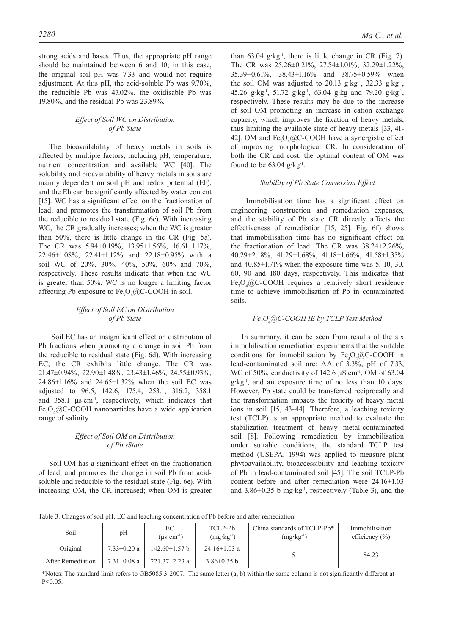strong acids and bases. Thus, the appropriate pH range should be maintained between 6 and 10; in this case, the original soil pH was 7.33 and would not require adjustment. At this pH, the acid-soluble Pb was 9.70%, the reducible Pb was 47.02%, the oxidisable Pb was 19.80%, and the residual Pb was 23.89%.

#### *Effect of soil WC on Distribution of Pb State*

The bioavailability of heavy metals in soils is affected by multiple factors, including pH, temperature, nutrient concentration and available WC [40]. The solubility and bioavailability of heavy metals in soils are mainly dependent on soil pH and redox potential (Eh), and the Eh can be significantly affected by water content [15]. WC has a significant effect on the fractionation of lead, and promotes the transformation of soil Pb from the reducible to residual state (Fig. 6c). With increasing WC, the CR gradually increases; when the WC is greater than 50%, there is little change in the CR (Fig. 5a). The CR was 5.94±0.19%, 13.95±1.56%, 16.61±1.17%, 22.46±1.08%, 22.41±1.12% and 22.18±0.95% with a soil WC of 20%, 30%, 40%, 50%, 60% and 70%, respectively. These results indicate that when the WC is greater than 50%, WC is no longer a limiting factor affecting Pb exposure to  $Fe<sub>3</sub>O<sub>4</sub>(QC-COOH)$  in soil.

#### *Effect of soil EC on Distribution of Pb State*

 Soil EC has an insignificant effect on distribution of Pb fractions when promoting a change in soil Pb from the reducible to residual state (Fig. 6d). With increasing EC, the CR exhibits little change. The CR was 21.47±0.94%, 22.90±1.48%, 23.43±1.46%, 24.55±0.93%, 24.86±1.16% and 24.65±1.32% when the soil EC was adjusted to 96.5, 142.6, 175.4, 253.1, 316.2, 358.1 and 358.1 μs·cm-1, respectively, which indicates that Fe<sub>3</sub>O<sub>4</sub>@C-COOH nanoparticles have a wide application range of salinity.

#### *Effect of soil OM on Distribution of Pb sState*

Soil OM has a significant effect on the fractionation of lead, and promotes the change in soil Pb from acidsoluble and reducible to the residual state (Fig. 6e). With increasing OM, the CR increased; when OM is greater than  $63.04$  g·kg<sup>-1</sup>, there is little change in CR (Fig. 7). The CR was 25.26±0.21%, 27.54±1.01%, 32.29±1.22%, 35.39±0.61%, 38.43±1.16% and 38.75±0.59% when the soil OM was adjusted to 20.13 g·kg<sup>-1</sup>, 32.33 g·kg<sup>-1</sup>, 45.26 g·kg-1, 51.72 g·kg-1, 63.04 g·kg-1and 79.20 g·kg-1, respectively. These results may be due to the increase of soil OM promoting an increase in cation exchange capacity, which improves the fixation of heavy metals, thus limiting the available state of heavy metals [33, 41- 42]. OM and  $Fe<sub>3</sub>O<sub>4</sub>@C-COOH$  have a synergistic effect of improving morphological CR. In consideration of both the CR and cost, the optimal content of OM was found to be  $63.04$  g kg<sup>-1</sup>.

#### *Stability of Pb State Conversion Effect*

 Immobilisation time has a significant effect on engineering construction and remediation expenses, and the stability of Pb state CR directly affects the effectiveness of remediation [15, 25]. Fig. 6f) shows that immobilisation time has no significant effect on the fractionation of lead. The CR was 38.24±2.26%, 40.29±2.18%, 41.29±1.68%, 41.18±1.66%, 41.58±1.35% and  $40.85 \pm 1.71\%$  when the exposure time was 5, 10, 30, 60, 90 and 180 days, respectively. This indicates that Fe<sub>3</sub>O<sub>4</sub>@C-COOH requires a relatively short residence time to achieve immobilisation of Pb in contaminated soils.

## *Fe3 O4 @C-COOH IE by TCLP Test Method*

In summary, it can be seen from results of the six immobilisation remediation experiments that the suitable conditions for immobilisation by  $Fe<sub>3</sub>O<sub>4</sub>/@C-COOH$  in lead-contaminated soil are: AA of 3.3%, pH of 7.33, WC of 50%, conductivity of 142.6  $\mu$ S·cm<sup>-1</sup>, OM of 63.04 g·kg-1, and an exposure time of no less than 10 days. However, Pb state could be transferred reciprocally and the transformation impacts the toxicity of heavy metal ions in soil [15, 43-44]. Therefore, a leaching toxicity test (TCLP) is an appropriate method to evaluate the stabilization treatment of heavy metal-contaminated soil [8]. Following remediation by immobilisation under suitable conditions, the standard TCLP test method (USEPA, 1994) was applied to measure plant phytoavailability, bioaccessibility and leaching toxicity of Pb in lead-contaminated soil [45]. The soil TCLP-Pb content before and after remediation were 24.16±1.03 and  $3.86\pm0.35$  b mg·kg<sup>-1</sup>, respectively (Table 3), and the

Table 3. Changes of soil pH, EC and leaching concentration of Pb before and after remediation.

| Soil              | pH                | EC<br>$(us \cdot cm^{-1})$ | TCLP-Pb<br>$(mg \cdot kg^{-1})$ | China standards of TCLP-Ph <sup>*</sup><br>$(mg \cdot kg^{-1})$ | Immobilisation<br>efficiency $(\% )$ |
|-------------------|-------------------|----------------------------|---------------------------------|-----------------------------------------------------------------|--------------------------------------|
| Original          | $7.33 \pm 0.20$ a | $142.60 \pm 1.57$ b        | $24.16 \pm 1.03$ a              |                                                                 | 84.23                                |
| After Remediation | $7.31 \pm 0.08$ a | $221.37 \pm 2.23$ a        | $3.86\pm0.35$ b                 |                                                                 |                                      |

\*Notes: The standard limit refers to GB5085.3-2007. The same letter (a, b) within the same column is not significantly different at  $P < 0.05$ .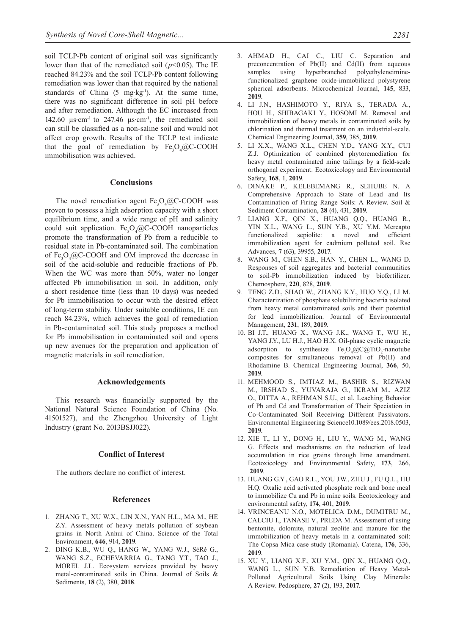soil TCLP-Pb content of original soil was significantly lower than that of the remediated soil ( $p$ <0.05). The IE reached 84.23% and the soil TCLP-Pb content following remediation was lower than that required by the national standards of China  $(5 \text{ mg kg}^{-1})$ . At the same time, there was no significant difference in soil pH before and after remediation. Although the EC increased from 142.60  $\mu$ s·cm<sup>-1</sup> to 247.46  $\mu$ s·cm<sup>-1</sup>, the remediated soil can still be classified as a non-saline soil and would not affect crop growth. Results of the TCLP test indicate that the goal of remediation by  $Fe<sub>3</sub>O<sub>4</sub>/@C-COOH$ immobilisation was achieved.

#### **Conclusions**

The novel remediation agent  $Fe<sub>3</sub>O<sub>4</sub>@C-COOH$  was proven to possess a high adsorption capacity with a short equilibrium time, and a wide range of pH and salinity could suit application.  $Fe<sub>3</sub>O<sub>4</sub>@C-COOH$  nanoparticles promote the transformation of Pb from a reducible to residual state in Pb-contaminated soil. The combination of  $Fe<sub>3</sub>O<sub>4</sub>(QC-COOH)$  and OM improved the decrease in soil of the acid-soluble and reducible fractions of Pb. When the WC was more than 50%, water no longer affected Pb immobilisation in soil. In addition, only a short residence time (less than 10 days) was needed for Pb immobilisation to occur with the desired effect of long-term stability. Under suitable conditions, IE can reach 84.23%, which achieves the goal of remediation in Pb-contaminated soil. This study proposes a method for Pb immobilisation in contaminated soil and opens up new avenues for the preparation and application of magnetic materials in soil remediation.

#### **Acknowledgements**

This research was financially supported by the National Natural Science Foundation of China (No. 41501527), and the Zhengzhou University of Light Industry (grant No. 2013BSJJ022).

#### **Conflict of Interest**

The authors declare no conflict of interest.

#### **References**

- 1. ZHANG T., XU W.X., LIN X.N., YAN H.L., MA M., HE Z.Y. Assessment of heavy metals pollution of soybean grains in North Anhui of China. Science of the Total Environment, **646**, 914, **2019**.
- 2. DING K.B., WU Q., HANG W., YANG W.J., SéRé G., WANG S.Z., ECHEVARRIA G., TANG Y.T., TAO J., MOREL J.L. Ecosystem services provided by heavy metal-contaminated soils in China. Journal of Soils & Sediments, **18** (2), 380, **2018**.
- 3. AHMAD H., CAI C., LIU C. Separation and preconcentration of Pb(II) and Cd(II) from aqueous<br>samples using hyperbranched polyethyleneiminesamples using hyperbranched polyethyleneiminefunctionalized graphene oxide-immobilized polystyrene spherical adsorbents. Microchemical Journal, **145**, 833, **2019**.
- 4. LI J.N., HASHIMOTO Y., RIYA S., TERADA A., HOU H., SHIBAGAKI Y., HOSOMI M. Removal and immobilization of heavy metals in contaminated soils by chlorination and thermal treatment on an industrial-scale. Chemical Engineering Journal, **359**, 385, **2019**.
- 5. LI X.X., WANG X.L., CHEN Y.D., YANG X.Y., CUI Z.J. Optimization of combined phytoremediation for heavy metal contaminated mine tailings by a field-scale orthogonal experiment. Ecotoxicology and Environmental Safety, **168**, 1, **2019**.
- 6. DINAKE P., KELEBEMANG R., SEHUBE N. A Comprehensive Approach to State of Lead and Its Contamination of Firing Range Soils: A Review. Soil & Sediment Contamination, **28** (4), 431, **2019**.
- 7. LIANG X.F., QIN X., HUANG Q.Q., HUANG R., YIN X.L., WANG L., SUN Y.B., XU Y.M. Mercapto functionalized sepiolite: a novel and efficient immobilization agent for cadmium polluted soil. Rsc Advances, **7** (63), 39955, **2017**.
- 8. WANG M., CHEN S.B., HAN Y., CHEN L., WANG D. Responses of soil aggregates and bacterial communities to soil-Pb immobilization induced by biofertilizer. Chemosphere, **220**, 828, **2019**.
- 9. TENG Z.D., SHAO W., ZHANG K.Y., HUO Y.Q., LI M. Characterization of phosphate solubilizing bacteria isolated from heavy metal contaminated soils and their potential for lead immobilization. Journal of Environmental Management, **231**, 189, **2019**.
- 10. BI J.T., HUANG X., WANG J.K., WANG T., WU H., YANG J.Y., LU H.J., HAO H.X. Oil-phase cyclic magnetic adsorption to synthesize  $Fe<sub>3</sub>O<sub>4</sub>@C@TiO<sub>2</sub>$ -nanotube composites for simultaneous removal of Pb(II) and Rhodamine B. Chemical Engineering Journal, **366**, 50, **2019**.
- 11. MEHMOOD S., IMTIAZ M., BASHIR S., RIZWAN M., IRSHAD S., YUVARAJA G., IKRAM M., AZIZ O., DITTA A., REHMAN S.U., et al. Leaching Behavior of Pb and Cd and Transformation of Their Speciation in Co-Contaminated Soil Receiving Different Passivators. Environmental Engineering Science10.1089/ees.2018.0503, **2019**.
- 12. XIE T., LI Y., DONG H., LIU Y., WANG M., WANG G. Effects and mechanisms on the reduction of lead accumulation in rice grains through lime amendment. Ecotoxicology and Environmental Safety, **173**, 266, **2019**.
- 13. HUANG G.Y., GAO R.L., YOU J.W., ZHU J., FU Q.L., HU H.Q. Oxalic acid activated phosphate rock and bone meal to immobilize Cu and Pb in mine soils. Ecotoxicology and environmental safety, **174**, 401, **2019**.
- 14. VRINCEANU N.O., MOTELICA D.M., DUMITRU M., CALCIU I., TANASE V., PREDA M. Assessment of using bentonite, dolomite, natural zeolite and manure for the immobilization of heavy metals in a contaminated soil: The Copsa Mica case study (Romania). Catena, **176**, 336, **2019**.
- 15. XU Y., LIANG X.F., XU Y.M., QIN X., HUANG Q.Q., WANG L., SUN Y.B. Remediation of Heavy Metal-Polluted Agricultural Soils Using Clay Minerals: A Review. Pedosphere, **27** (2), 193, **2017**.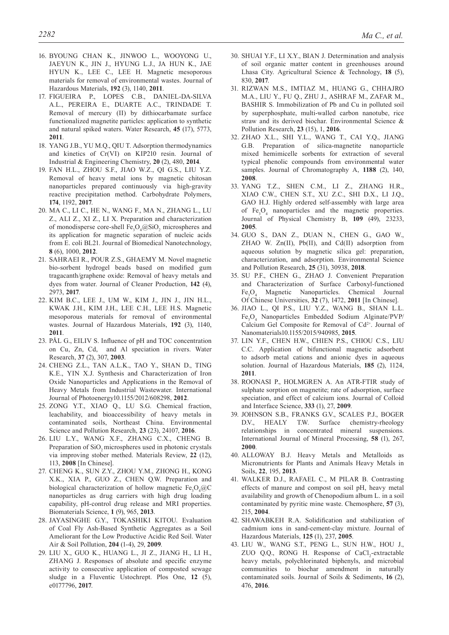- 16. BYOUNG CHAN K., JINWOO L., WOOYONG U., JAEYUN K., JIN J., HYUNG L.J., JA HUN K., JAE HYUN K., LEE C., LEE H. Magnetic mesoporous materials for removal of environmental wastes. Journal of Hazardous Materials, **192** (3), 1140, **2011**.
- 17. FIGUEIRA P., LOPES C.B., DANIEL-DA-SILVA A.L., PEREIRA E., DUARTE A.C., TRINDADE T. Removal of mercury (II) by dithiocarbamate surface functionalized magnetite particles: application to synthetic and natural spiked waters. Water Research, **45** (17), 5773, **2011**.
- 18. YANG J.B., YU M.Q., QIU T. Adsorption thermodynamics and kinetics of Cr(VI) on KIP210 resin. Journal of Industrial & Engineering Chemistry, **20** (2), 480, **2014**.
- 19. FAN H.L., ZHOU S.F., JIAO W.Z., QI G.S., LIU Y.Z. Removal of heavy metal ions by magnetic chitosan nanoparticles prepared continuously via high-gravity reactive precipitation method. Carbohydrate Polymers, **174**, 1192, **2017**.
- 20. MA C., LI C., HE N., WANG F., MA N., ZHANG L., LU Z., ALI Z., XI Z., LI X. Preparation and characterization of monodisperse core-shell  $Fe<sub>3</sub>O<sub>4</sub>@SiO<sub>2</sub>$  microspheres and its application for magnetic separation of nucleic acids from E. coli BL21. Journal of Biomedical Nanotechnology, **8** (6), 1000, **2012**.
- 21. SAHRAEI R., POUR Z.S., GHAEMY M. Novel magnetic bio-sorbent hydrogel beads based on modified gum tragacanth/graphene oxide: Removal of heavy metals and dyes from water. Journal of Cleaner Production, **142** (4), 2973, **2017**.
- 22. KIM B.C., LEE J., UM W., KIM J., JIN J., JIN H.L., KWAK J.H., KIM J.H., LEE C.H., LEE H.S. Magnetic mesoporous materials for removal of environmental wastes. Journal of Hazardous Materials, **192** (3), 1140, **2011**.
- 23. PåL G., EILIV S. Influence of pH and TOC concentration on Cu, Zn, Cd, and Al speciation in rivers. Water Research, **37** (2), 307, **2003**.
- 24. CHENG Z.L., TAN A.L.K., TAO Y., SHAN D., TING K.E., YIN X.J. Synthesis and Characterization of Iron Oxide Nanoparticles and Applications in the Removal of Heavy Metals from Industrial Wastewater. International Journal of Photoenergy10.1155/2012/608298, **2012**.
- 25. ZONG Y.T., XIAO Q., LU S.G. Chemical fraction, leachability, and bioaccessibility of heavy metals in contaminated soils, Northeast China. Environmental Science and Pollution Research, **23** (23), 24107, **2016**.
- 26. LIU L.Y., WANG X.F., ZHANG C.X., CHENG B. Preparation of SiO<sub>2</sub> microspheres used in photonic crystals via improving stober methed. Materials Review, **22** (12), 113, **2008** [In Chinese].
- 27. CHENG K., SUN Z.Y., ZHOU Y.M., ZHONG H., KONG X.K., XIA P., GUO Z., CHEN Q.W. Preparation and biological characterization of hollow magnetic  $Fe<sub>3</sub>O<sub>4</sub>/@C$ nanoparticles as drug carriers with high drug loading capability, pH-control drug release and MRI properties. Biomaterials Science, **1** (9), 965, **2013**.
- 28. JAYASINGHE G.Y., TOKASHIKI KITOU. Evaluation of Coal Fly Ash-Based Synthetic Aggregates as a Soil Ameliorant for the Low Productive Acidic Red Soil. Water Air & Soil Pollution, **204** (1-4), 29, **2009**.
- 29. LIU X., GUO K., HUANG L., JI Z., JIANG H., LI H., ZHANG J. Responses of absolute and specific enzyme activity to consecutive application of composted sewage sludge in a Fluventic Ustochrept. Plos One, **12** (5), e0177796, **2017**.
- 30. SHUAI Y.F., LI X.Y., BIAN J. Determination and analysis of soil organic matter content in greenhouses around Lhasa City. Agricultural Science & Technology, **18** (5), 830, **2017**.
- 31. RIZWAN M.S., IMTIAZ M., HUANG G., CHHAJRO M.A., LIU Y., FU Q., ZHU J., ASHRAF M., ZAFAR M., BASHIR S. Immobilization of Pb and Cu in polluted soil by superphosphate, multi-walled carbon nanotube, rice straw and its derived biochar. Environmental Science & Pollution Research, **23** (15), 1, **2016**.
- 32. ZHAO X.L., SHI Y.L., WANG T., CAI Y.Q., JIANG G.B. Preparation of silica-magnetite nanoparticle mixed hemimicelle sorbents for extraction of several typical phenolic compounds from environmental water samples. Journal of Chromatography A, **1188** (2), 140, **2008**.
- 33. YANG T.Z., SHEN C.M., LI Z., ZHANG H.R., XIAO C.W., CHEN S.T., XU Z.C., SHI D.X., LI J.Q., GAO H.J. Highly ordered self-assembly with large area of  $Fe<sub>3</sub>O<sub>4</sub>$  nanoparticles and the magnetic properties. Journal of Physical Chemistry B, **109** (49), 23233, **2005**.
- 34. GUO S., DAN Z., DUAN N., CHEN G., GAO W., ZHAO W. Zn(II), Pb(II), and Cd(II) adsorption from aqueous solution by magnetic silica gel: preparation, characterization, and adsorption. Environmental Science and Pollution Research, **25** (31), 30938, **2018**.
- 35. SU P.F., CHEN G., ZHAO J. Convenient Preparation and Characterization of Surface Carboxyl-functioned Fe<sub>3</sub>O<sub>4</sub> Magnetic Nanoparticles. Chemical Journal Of Chinese Universities, **32** (7), 1472, **2011** [In Chinese].
- 36. JIAO L., QI P.S., LIU Y.Z., WANG B., SHAN L.L. Fe<sub>3</sub>O<sub>4</sub> Nanoparticles Embedded Sodium Alginate/PVP/ Calcium Gel Composite for Removal of Cd2+. Journal of Nanomaterials10.1155/2015/940985, **2015**.
- 37. LIN Y.F., CHEN H.W., CHIEN P.S., CHIOU C.S., LIU C.C. Application of bifunctional magnetic adsorbent to adsorb metal cations and anionic dyes in aqueous solution. Journal of Hazardous Materials, **185** (2), 1124, **2011**.
- 38. ROONASI P., HOLMGREN A. An ATR-FTIR study of sulphate sorption on magnetite; rate of adsorption, surface speciation, and effect of calcium ions. Journal of Colloid and Interface Science, **333** (1), 27, **2009**.
- 39. JOHNSON S.B., FRANKS G.V., SCALES P.J., BOGER D.V., HEALY T.W. Surface chemistry-rheology relationships in concentrated mineral suspensions. International Journal of Mineral Processing, **58** (1), 267, **2000**.
- 40. ALLOWAY B.J. Heavy Metals and Metalloids as Micronutrients for Plants and Animals Heavy Metals in Soils, **22**, 195, **2013**.
- 41. WALKER D.J., RAFAEL C., M PILAR B. Contrasting effects of manure and compost on soil pH, heavy metal availability and growth of Chenopodium album L. in a soil contaminated by pyritic mine waste. Chemosphere, **57** (3), 215, **2004**.
- 42. SHAWABKEH R.A. Solidification and stabilization of cadmium ions in sand-cement-clay mixture. Journal of Hazardous Materials, **125** (1), 237, **2005**.
- 43. LIU W., WANG S.T., PENG L., SUN H.W., HOU J., ZUO Q.Q., RONG H. Response of CaCl<sub>2</sub>-extractable heavy metals, polychlorinated biphenyls, and microbial communities to biochar amendment in naturally contaminated soils. Journal of Soils & Sediments, **16** (2), 476, **2016**.